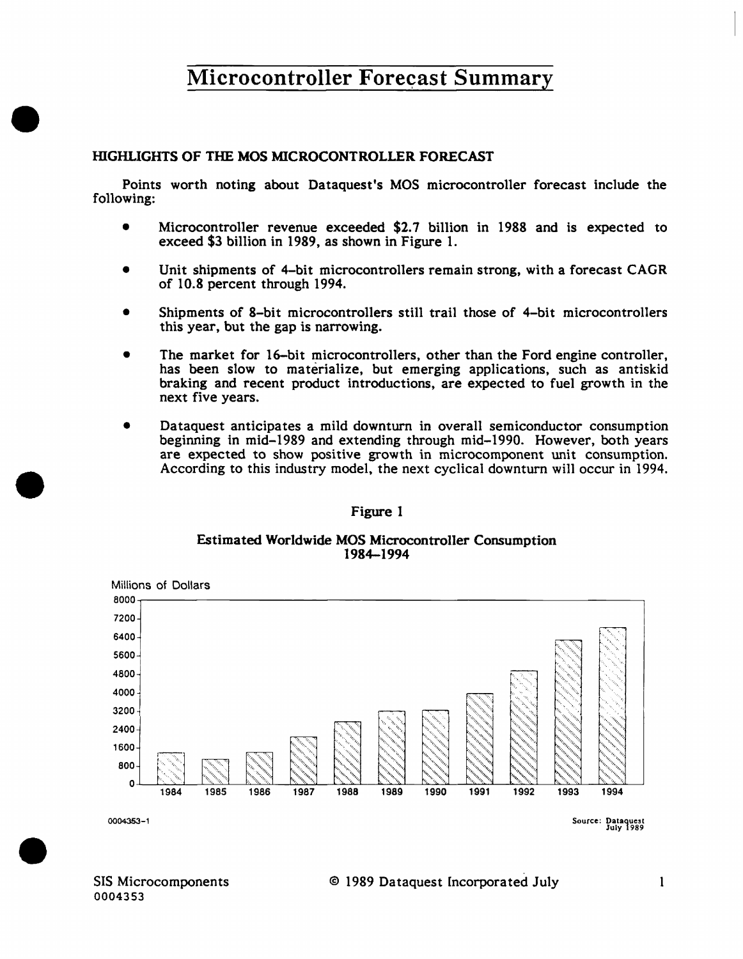#### HIGHLIGHTS OF THE MOS MICROCONTROLLER FORECAST

•

•

•

Points worth noting about Dataquest's MOS microcontroller forecast include the following:

- Microcontroller revenue exceeded \$2.7 billion in 1988 and is expected to exceed \$3 billion in 1989, as shown in Figure 1.
- Unit shipments of 4-bit microcontrollers remain strong, with a forecast CAGR of 10.8 percent through 1994.
- Shipments of 8-bit microcontrollers still trail those of 4-bit microcontrollers this year, but the gap is narrowing.
- The market for 16-bit microcontrollers, other than the Ford engine controller, has been slow to materialize, but emerging applications, such as antiskid braking and recent product introductions, are expected to fuel growth in the next five years.
- Dataquest anticipates a mild downturn in overall semiconductor consumption beginning in mid-1989 and extending through mid-1990. However, both years are expected to show positive growth in microcomponent unit consumption. According to this industry model, the next cyclical downturn will occur in 1994 .

#### Figure I

#### Estimated Worldwide MOS Microcontroller Consumption 1984-1994



Source: Oataquest July 1989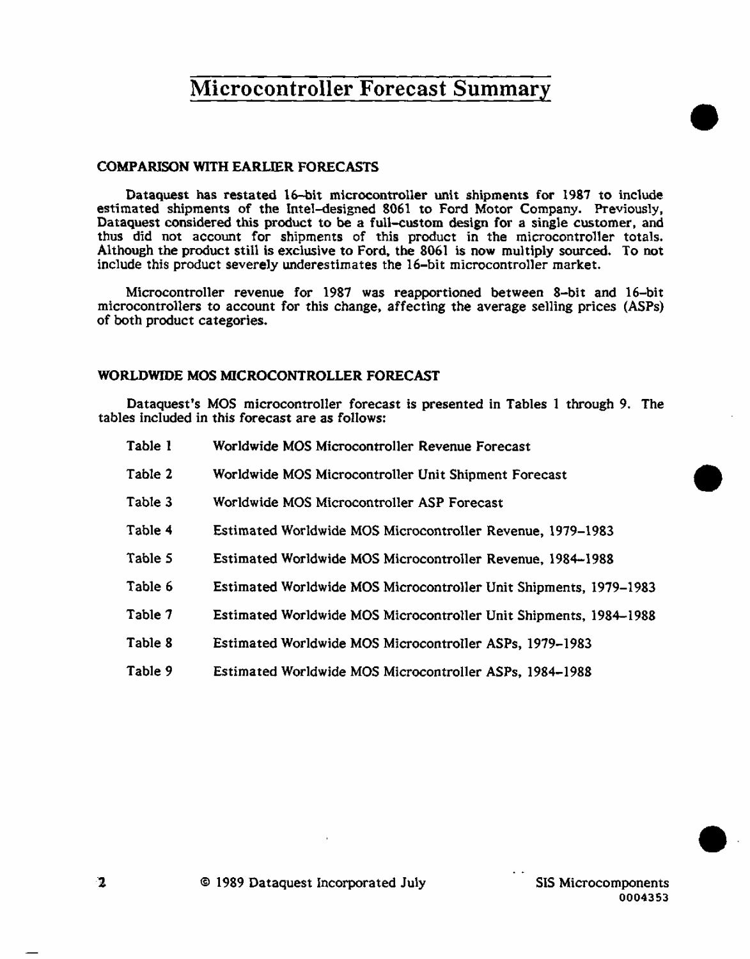#### COMPARISON WITH EARLIER FORECASTS

Dataquest has restated 16-bit microcontroller unit shipments for 1987 to include estimated shipments of the Intel-designed 8061 to Ford Motor Company. Previously, Dataquest considered this product to be a full-custom design for a single customer, and thus did not account for shipments of this product in the microcontroller totals. Although the product still is exclusive to Ford. the 8061 is now multiply sourced. To not include this product severely underestimates the 16-bit microcontroller market.

Microcontroller revenue for 1987 was reapportioned between 8-bit and 16-bit microcontrollers to account for this change, affecting the average selling prices (ASPs) of both product categories.

#### WORLDWIDE MOS MICROCONTROLLER FORECAST

Dataquest's MOS microcontroller forecast is presented in Tables 1 through 9. The tables included in this forecast are as follows:

- Table 1 Worldwide MOS Microcontroller Revenue Forecast
- Table 2 Worldwide MOS Microcontroller Unit Shipment Forecast
- Table 3 Worldwide MOS Microcontroller ASP Forecast
- Table 4 Estimated Worldwide MOS Microcontroller Revenue, 1979-1983
- Table *5*  Estimated Worldwide MOS Microcontroller Revenue, 1984-1988
- Table 6 Estimated Worldwide MOS Microcontro11er Unit Shipments, 1979-1983
- Table 7 Estimated Worldwide MOS Microcontroller Unit Shipments, 1984-1988
- Table 8 Estimated Worldwide MOS Microcontroller ASPs, 1979-1983
- Table 9 Estimated Worldwide MOS Microcontroller ASPs, 1984-1988

•

•

 $\bullet$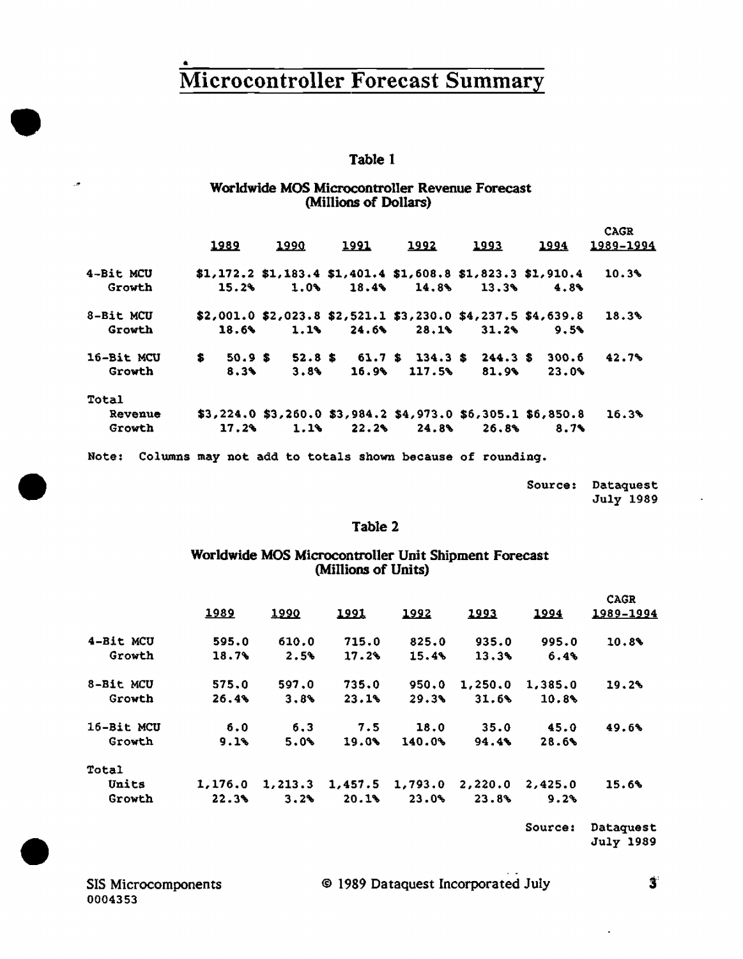#### Table 1

#### Worldwide MOS Microcontroller Revenue Forecast (Millions of Dollars)

|            |     | <u> 1989</u> | 1990 | <u> 1991</u> | 1992   | 1993                                                              | 1994  | <b>CAGR</b><br>1989-1994 |
|------------|-----|--------------|------|--------------|--------|-------------------------------------------------------------------|-------|--------------------------|
| 4-Bit MCU  |     |              |      |              |        | $$1,172.2$ $$1,183.4$ $$1,401.4$ $$1,608.8$ $$1,823.3$ $$1,910.4$ |       | 10.3%                    |
| Growth     |     | 15.2%        | 1.0% | 18.4%        | 14.8%  | 13.3%                                                             | 4.8%  |                          |
| 8-Bit MCU  |     |              |      |              |        | \$2,001.0 \$2,023.8 \$2,521.1 \$3,230.0 \$4,237.5 \$4,639.8       |       | 18.3%                    |
| Growth     |     | 18.6%        | 1.1% | 24.6%        | 28.13  | 31.2%                                                             | 9.5%  |                          |
| 16-Bit MCU | \$. | 50.9 \$      |      |              |        | $52.8$ \$ 61.7 \$ 134.3 \$ 244.3 \$ 300.6                         |       | 42.7%                    |
| Growth     |     | 8.3%         | 3.8% | 16.9%        | 117.5% | 81.9%                                                             | 23.0% |                          |
| Total      |     |              |      |              |        |                                                                   |       |                          |
| Revenue    |     |              |      |              |        | $$3,224.0$ $$3,260.0$ $$3,984.2$ $$4,973.0$ $$6,305.1$ $$6,850.8$ |       | 16.3%                    |
| Growth     |     | 17.2%        | 1.1% | 22.2%        | 24.8%  | 26.8%                                                             | 8.7%  |                          |
|            |     |              |      |              |        |                                                                   |       |                          |

Note: Columns may not add to totals shown because of rounding.

| Source: |           | Dataquest |
|---------|-----------|-----------|
|         | July 1989 |           |

#### Table 2

#### Worldwide MOS Microcontroller Unit Shipment Forecast (Millions of Units)

|            | 1989    | 1990     | 1991    | 1992    | 1993    | 1994    | <b>CAGR</b><br>1989-1994 |
|------------|---------|----------|---------|---------|---------|---------|--------------------------|
| 4-Bit MCU  | 595.0   | 610.0    | 715.0   | 825.0   | 935.0   | 995.0   | 10.8%                    |
| Growth     | 18.7%   | 2.5%     | 17.2%   | 15.4%   | 13.3%   | 6.4%    |                          |
| 8-Bit MCU  | 575.0   | 597.0    | 735.0   | 950.0   | 1,250.0 | 1,385.0 | 19.2%                    |
| Growth     | 26.4%   | 3.8%     | 23.1%   | 29.3%   | 31.6%   | 10.8%   |                          |
| 16-Bit MCU | 6.0     | 6.3      | 7.5     | 18.0    | 35.0    | 45.0    | 49.6%                    |
| Growth     | 9.1%    | 5.0%     | 19.0%   | 140.0%  | 94.4%   | 28.6%   |                          |
| Total      |         |          |         |         |         |         |                          |
| Units      | 1.176.0 | 1, 213.3 | 1,457.5 | 1,793.0 | 2,220.0 | 2,425.0 | 15.6%                    |
| Growth     | 22.3%   | 3.2%     | 20.1%   | 23.0%   | 23.8%   | 9.2%    |                          |

Source: Dataquest **July 1989** 

SIS Microcomponents 0004353

Ŀ,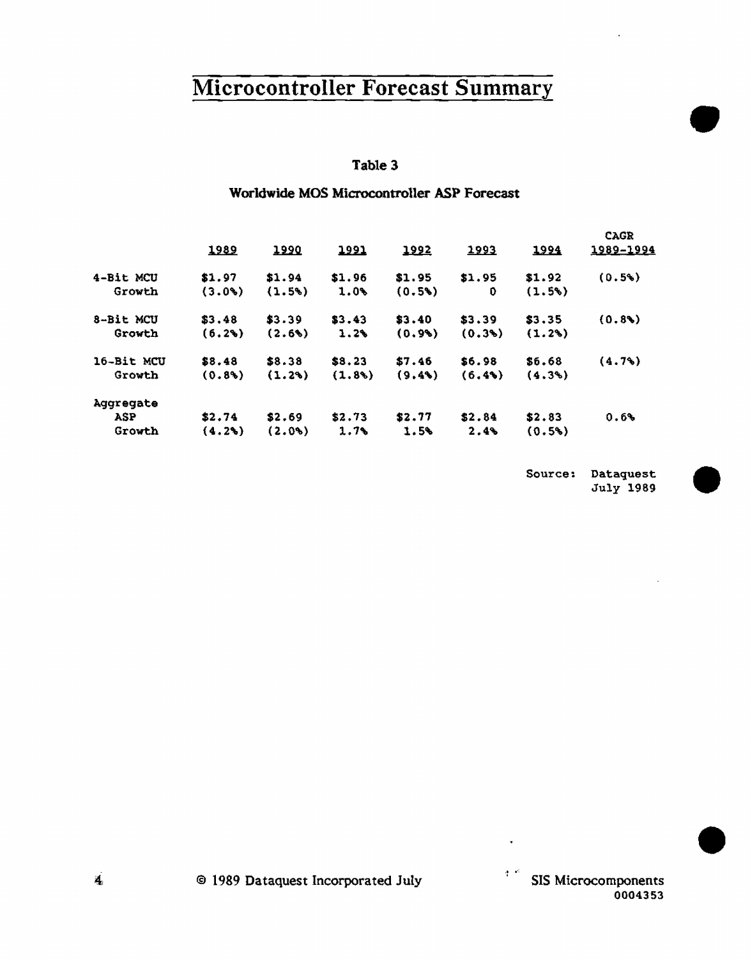#### Table 3

## Worldwide MOS Microcontroller ASP Forecast

|            |           |          |              |        |        |           | <b>CAGR</b> |
|------------|-----------|----------|--------------|--------|--------|-----------|-------------|
|            | 1989      | 1990     | <u> 1991</u> | 1992   | 1993   | 1994      | 1989-1994   |
| 4-Bit MCU  | \$1.97    | \$1.94   | \$1.96       | \$1,95 | \$1.95 | \$1.92    | (0.5%)      |
| Growth     | $(3.0\%)$ | (1.5%)   | $1.0\%$      | (0.5)  | O      | (1.5%)    |             |
| 8-Bit MCU  | \$3.48    | \$3.39   | \$3.43       | \$3.40 | \$3.39 | \$3.35    | (0.8)       |
| Growth     | (6.2%)    | (2.6)    | 1.2%         | (0.9)  | (0.3)  | $(1.2\%)$ |             |
| 16-Bit MCU | \$8.48    | \$8.38   | \$8.23       | \$7.46 | \$6.98 | \$6.68    | (4.7%)      |
| Growth     | $(0.8\%)$ | (1.29)   | (1.8)        | (9.4)  | (6.4%) | (4.3%)    |             |
| Aggregate  |           |          |              |        |        |           |             |
| <b>ASP</b> | \$2.74    | \$2.69   | \$2.73       | \$2.77 | \$2.84 | \$2.83    | 0.6%        |
| Growth     | (4.2)     | $(2.0*)$ | 1.7%         | 1.5%   | 2.4%   | (0.5%)    |             |

Source: Dataquest<br>July 1989

•

<sup>1</sup><sup>c</sup> SIS Microcomponents 0004353 •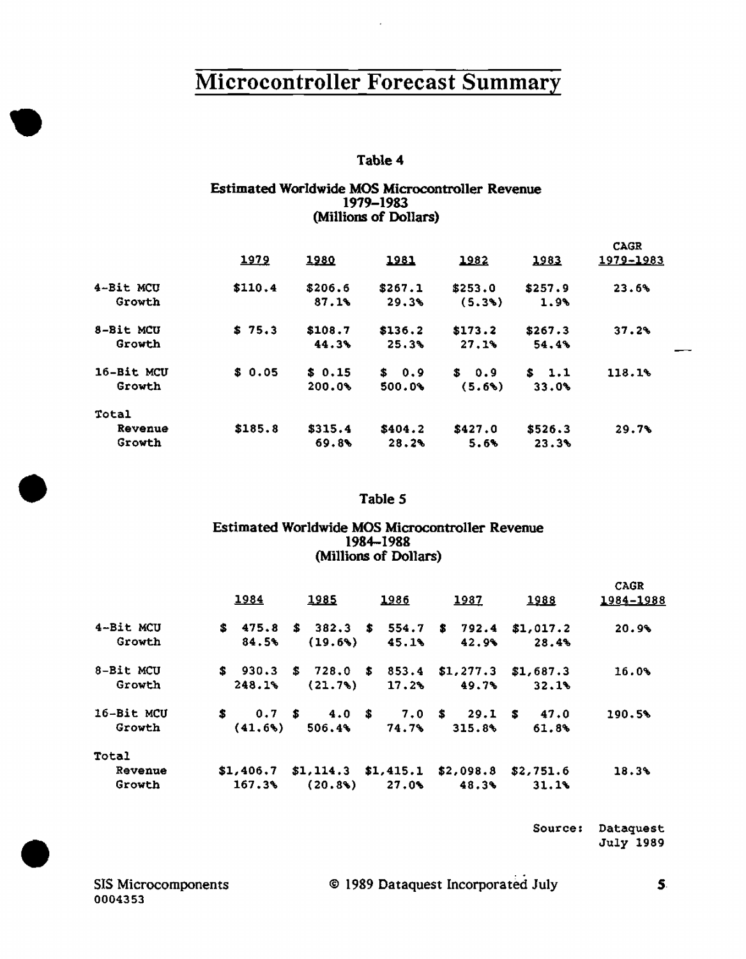#### Estimated Worldwide MOS Microcontroller Revenue 1979-1983 (Millions of Dollars)

|                      | 1979    | 1980             | <u> 1981</u>     | 1982              | 1983             | <b>CAGR</b><br>1979-1983 |  |
|----------------------|---------|------------------|------------------|-------------------|------------------|--------------------------|--|
| 4-Bit MCU<br>Growth  | \$110.4 | \$206.6<br>87.1% | \$267.1<br>29.3% | \$253.0<br>(5.3%) | \$257.9<br>1.9%  | 23.6%                    |  |
| 8-Bit MCU<br>Growth  | \$75.3  | \$108.7<br>44.3% | \$136.2<br>25.3% | \$173.2<br>27.1%  | \$267.3<br>54.4% | 37.2%                    |  |
| 16-Bit MCU<br>Growth | \$0.05  | \$0.15<br>200.0% | \$0.9<br>500.0%  | \$ 0.9<br>(5.6%)  | \$1.1<br>33.0%   | 118.1%                   |  |
| Total                |         |                  |                  |                   |                  |                          |  |
| Revenue<br>Growth    | \$185.8 | \$315.4<br>69.8  | \$404.2<br>28.2% | \$427.0<br>5.6%   | \$526.3<br>23.3% | 29.7%                    |  |

## Table 5<br>Estimated Worldwide MOS Mic Estimated Worldwide MOS Microcontroller Revenue 1984-1988 (Millions of Dollars)

|            |    | 1984      | 1985                                        | 1986  | 1987                  | 1988      | <b>CAGR</b><br>1984-1988 |
|------------|----|-----------|---------------------------------------------|-------|-----------------------|-----------|--------------------------|
| 4-Bit MCU  |    | \$475.8   | \$382.3\$554.7\$3732.4                      |       |                       | \$1,017.2 | 20.9%                    |
| Growth     |    | 84.5%     | (19.6%)                                     | 45.1% | 42.9%                 | 28.4%     |                          |
| 8-Bit MCU  |    | \$30.3    | $$728.0 \t$ 853.4$                          |       | $$1,277.3$ $$1,687.3$ |           | 16.0%                    |
| Growth     |    | 248.1%    | (21.7% )                                    | 17.2% | 49.7%                 | 32.1%     |                          |
| 16-Bit MCU | S. | 0.7 S     | 4.0 S                                       |       | $7.0 \t s$ 29.1 s     | 47.0      | 190.5%                   |
| Growth     |    | (41.6%    | 506.4%                                      | 74.7% | 315.8%                | 61.8%     |                          |
| Total      |    |           |                                             |       |                       |           |                          |
| Revenue    |    | \$1,406.7 | $$1,114.3$ $$1,415.1$ $$2,098.8$ $$2,751.6$ |       |                       |           | 18.3%                    |
| Growth     |    | 167.3%    | (20.8)                                      | 27.0% | 48.3%                 | 31.1%     |                          |

Source: Dataquest

Source: Dataquest<br>July 1989<br>SIS Microcomponents © 1989 Dataquest Incorporated July 5.<br>0004353 0004353

SIS Microcomponents **C** 1989 Dataquest Incorporated July 5.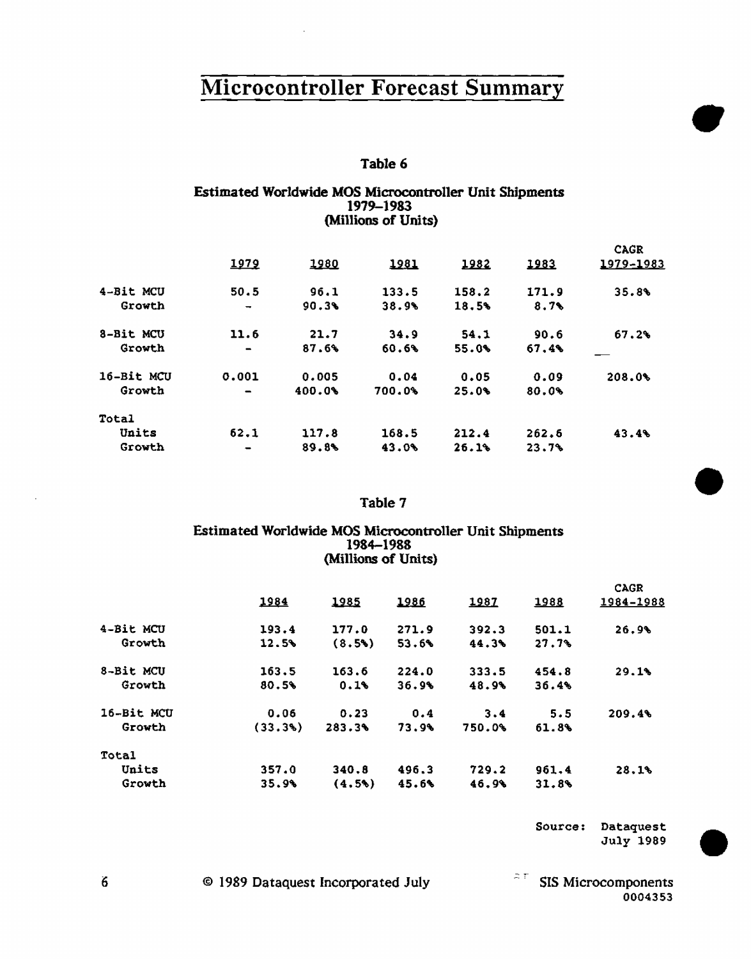## Table 6

#### Estimated Worldwide MOS Microcontroller Unit Shipments 1979-1983 (Millions of Units)

|              | 1979                         | 1980   | 1981   | 1982  | 1983  | CAGR<br>1979-1983 |
|--------------|------------------------------|--------|--------|-------|-------|-------------------|
| 4-Bit MCU    | 50.5                         | 96.1   | 133.5  | 158.2 | 171.9 | 35.8%             |
| Growth       | $\overline{\phantom{a}}$     | 90.3%  | 38.9%  | 18.5% | 8.7   |                   |
| 8-Bit MCU    | 11.6                         | 21.7   | 34.9   | 54.1  | 90.6  | 67.2%             |
| Growth       | $\qquad \qquad \blacksquare$ | 87.6%  | 60.6%  | 55.0% | 67.4% |                   |
| 16-Bit MCU   | 0.001                        | 0.005  | 0.04   | 0.05  | 0.09  | 208.0%            |
| Growth       |                              | 400.0% | 700.0% | 25.0% | 80.0% |                   |
| <b>Total</b> |                              |        |        |       |       |                   |
| Units        | 62.1                         | 117.8  | 168.5  | 212.4 | 262.5 | 43.4%             |
| Growth       |                              | 89.8%  | 43.0%  | 26.1% | 23.7% |                   |

#### Table 7

#### Estimated Worldwide MOS Microcontroller Unit Shipments 1984-1983 (Millions of Units)

|              | 1984   | 1985   | 1986  | 1987   | 1988  | <b>CAGR</b><br>1984-1988 |
|--------------|--------|--------|-------|--------|-------|--------------------------|
| 4-Bit MCU    | 193.4  | 177.0  | 271.9 | 392.3  | 501.1 | 26.9%                    |
| Growth       | 12.5%  | (8.5%) | 53.6% | 44.3%  | 27.7% |                          |
| 8-Bit MCU    | 163.5  | 163.6  | 224.0 | 333.5  | 454.8 | 29.1%                    |
| Growth       | 80.5%  | 0.1%   | 36.9% | 48.9%  | 36.4% |                          |
| 16-Bit MCU   | 0.06   | 0.23   | 0.4   | 3.4    | 5.5   | 209.4%                   |
| Growth       | (33.3% | 283.3% | 73.9% | 750.0% | 61.8% |                          |
| <b>Total</b> |        |        |       |        |       |                          |
| Units        | 357.0  | 340.8  | 496.3 | 729.2  | 961.4 | 28.1%                    |
| Growth       | 35.9%  | (4.5%) | 45.6% | 46.9%  | 31.8% |                          |

Source: Dataquest July 1989 •

•

•

0004353

© 1989 Dataquest Incorporated July -- - SIS Microcomponents

6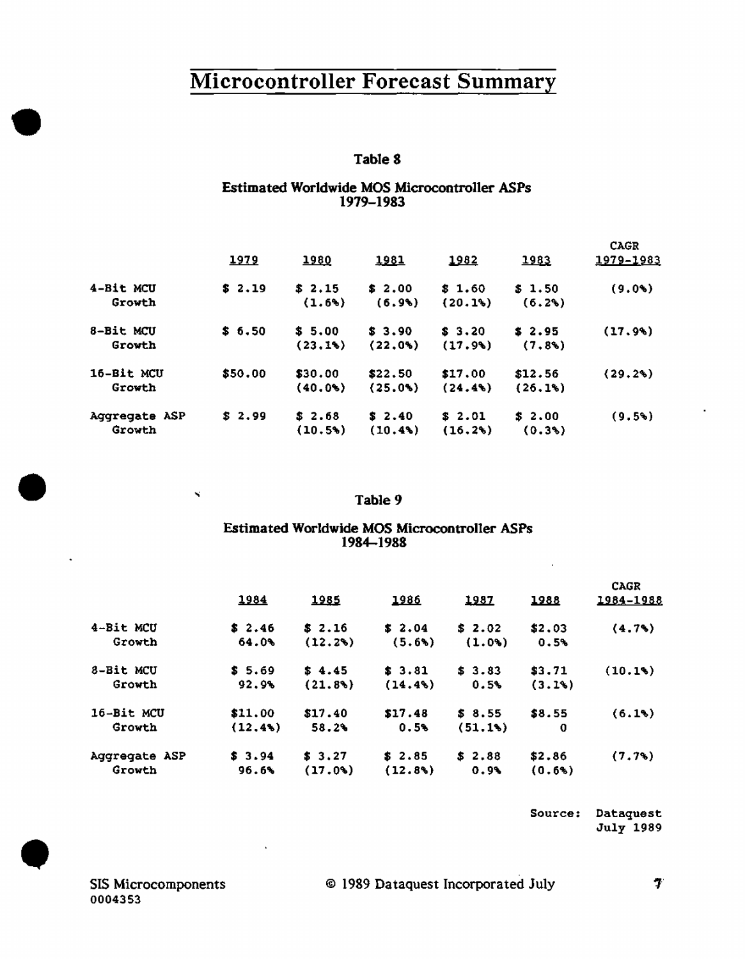#### Table 8

#### **Estimated Worldwide MOS Microcontroller ASPs** 1979-1983

|                         | 1979    | 1980              | 1981              | 1982                  | 1983                | <b>CAGR</b><br>1979-1983 |
|-------------------------|---------|-------------------|-------------------|-----------------------|---------------------|--------------------------|
| 4-Bit MCU<br>Growth     | \$2.19  | \$2.15<br>(1.6%)  | \$2.00<br>(6.9)   | \$1.60<br>(20.1%)     | \$1.50<br>(6.2%)    | $(9.0*)$                 |
| 8-Bit MCU<br>Growth     | \$6.50  | \$5.00<br>(23.1%) | \$3.90<br>(22.0)  | \$3.20<br>(17.9)      | \$2.95<br>(7.83)    | (17.9%)                  |
| 16-Bit MCU<br>Growth    | \$50.00 | \$30.00<br>(40.0) | \$22.50<br>(25.0) | \$17.00<br>$(24.4\%)$ | \$12.56<br>(26.1%)  | (29.2%)                  |
| Aggregate ASP<br>Growth | \$2.99  | \$2.68<br>(10.5)  | \$2.40<br>(10.48) | \$2.01<br>(16.2%)     | \$2.00<br>$(0.3\%)$ | (9.5%)                   |

#### Table 9

#### Estimated Worldwide MOS Microcontroller ASPs 1984-1988

|               | 1984    | 1985    | 1986    | 1987   | 1988   | <b>CAGR</b><br>1984-1988 |
|---------------|---------|---------|---------|--------|--------|--------------------------|
| 4-Bit MCU     | \$2.46  | \$2.16  | \$2.04  | \$2.02 | \$2.03 | (4.7%)                   |
| Growth        | 64.0%   | (12.2%) | (5.6%)  | (1.0)  | 0.5%   |                          |
| 8-Bit MCU     | \$5.69  | \$4.45  | \$3.81  | \$3.83 | \$3.71 | (10.1%)                  |
| Growth        | 92.9%   | (21.8)  | (14.4%  | 0.5%   | (3.1%) |                          |
| 16-Bit MCU    | \$11.00 | \$17.40 | \$17.48 | \$3,55 | \$8.55 | (6.1%)                   |
| Growth        | (12, 4) | 58.2%   | 0.5%    | (51.1) | 0      |                          |
| Aggregate ASP | \$3.94  | \$3.27  | \$2.85  | \$2.88 | \$2.86 | (7.7%)                   |
| Growth        | 96.6%   | (17.04) | (12.8%) | 0.9%   | (0.6%) |                          |

Source: Dataquest July 1989

 $\mathbf{x}^{\prime}$